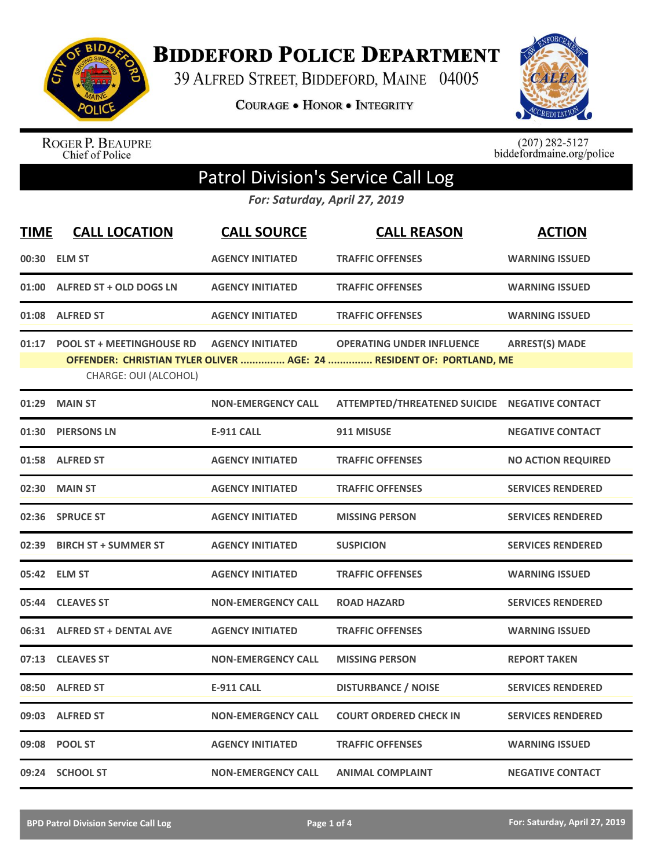

**BIDDEFORD POLICE DEPARTMENT** 

39 ALFRED STREET, BIDDEFORD, MAINE 04005

**COURAGE . HONOR . INTEGRITY** 



ROGER P. BEAUPRE<br>Chief of Police

 $(207)$  282-5127<br>biddefordmaine.org/police

## Patrol Division's Service Call Log

*For: Saturday, April 27, 2019*

| <b>TIME</b> | <b>CALL LOCATION</b>                                     | <b>CALL SOURCE</b>        | <b>CALL REASON</b>                                                                                       | <b>ACTION</b>             |
|-------------|----------------------------------------------------------|---------------------------|----------------------------------------------------------------------------------------------------------|---------------------------|
|             | 00:30 ELM ST                                             | <b>AGENCY INITIATED</b>   | <b>TRAFFIC OFFENSES</b>                                                                                  | <b>WARNING ISSUED</b>     |
|             | 01:00 ALFRED ST + OLD DOGS LN                            | <b>AGENCY INITIATED</b>   | <b>TRAFFIC OFFENSES</b>                                                                                  | <b>WARNING ISSUED</b>     |
|             | 01:08 ALFRED ST                                          | <b>AGENCY INITIATED</b>   | <b>TRAFFIC OFFENSES</b>                                                                                  | <b>WARNING ISSUED</b>     |
|             | 01:17 POOL ST + MEETINGHOUSE RD<br>CHARGE: OUI (ALCOHOL) | <b>AGENCY INITIATED</b>   | <b>OPERATING UNDER INFLUENCE</b><br>OFFENDER: CHRISTIAN TYLER OLIVER  AGE: 24  RESIDENT OF: PORTLAND, ME | <b>ARREST(S) MADE</b>     |
|             | 01:29 MAIN ST                                            | <b>NON-EMERGENCY CALL</b> | ATTEMPTED/THREATENED SUICIDE NEGATIVE CONTACT                                                            |                           |
|             | 01:30 PIERSONS LN                                        | <b>E-911 CALL</b>         | 911 MISUSE                                                                                               | <b>NEGATIVE CONTACT</b>   |
|             | 01:58 ALFRED ST                                          | <b>AGENCY INITIATED</b>   | <b>TRAFFIC OFFENSES</b>                                                                                  | <b>NO ACTION REQUIRED</b> |
|             | 02:30 MAIN ST                                            | <b>AGENCY INITIATED</b>   | <b>TRAFFIC OFFENSES</b>                                                                                  | <b>SERVICES RENDERED</b>  |
|             | 02:36 SPRUCE ST                                          | <b>AGENCY INITIATED</b>   | <b>MISSING PERSON</b>                                                                                    | <b>SERVICES RENDERED</b>  |
|             | 02:39 BIRCH ST + SUMMER ST                               | <b>AGENCY INITIATED</b>   | <b>SUSPICION</b>                                                                                         | <b>SERVICES RENDERED</b>  |
|             | 05:42 ELM ST                                             | <b>AGENCY INITIATED</b>   | <b>TRAFFIC OFFENSES</b>                                                                                  | <b>WARNING ISSUED</b>     |
|             | 05:44 CLEAVES ST                                         | <b>NON-EMERGENCY CALL</b> | <b>ROAD HAZARD</b>                                                                                       | <b>SERVICES RENDERED</b>  |
|             | 06:31 ALFRED ST + DENTAL AVE                             | <b>AGENCY INITIATED</b>   | <b>TRAFFIC OFFENSES</b>                                                                                  | <b>WARNING ISSUED</b>     |
|             | 07:13 CLEAVES ST                                         | <b>NON-EMERGENCY CALL</b> | <b>MISSING PERSON</b>                                                                                    | <b>REPORT TAKEN</b>       |
|             | 08:50 ALFRED ST                                          | <b>E-911 CALL</b>         | <b>DISTURBANCE / NOISE</b>                                                                               | <b>SERVICES RENDERED</b>  |
|             | 09:03 ALFRED ST                                          | <b>NON-EMERGENCY CALL</b> | <b>COURT ORDERED CHECK IN</b>                                                                            | <b>SERVICES RENDERED</b>  |
|             | 09:08 POOL ST                                            | <b>AGENCY INITIATED</b>   | <b>TRAFFIC OFFENSES</b>                                                                                  | <b>WARNING ISSUED</b>     |
|             | 09:24 SCHOOL ST                                          | <b>NON-EMERGENCY CALL</b> | <b>ANIMAL COMPLAINT</b>                                                                                  | <b>NEGATIVE CONTACT</b>   |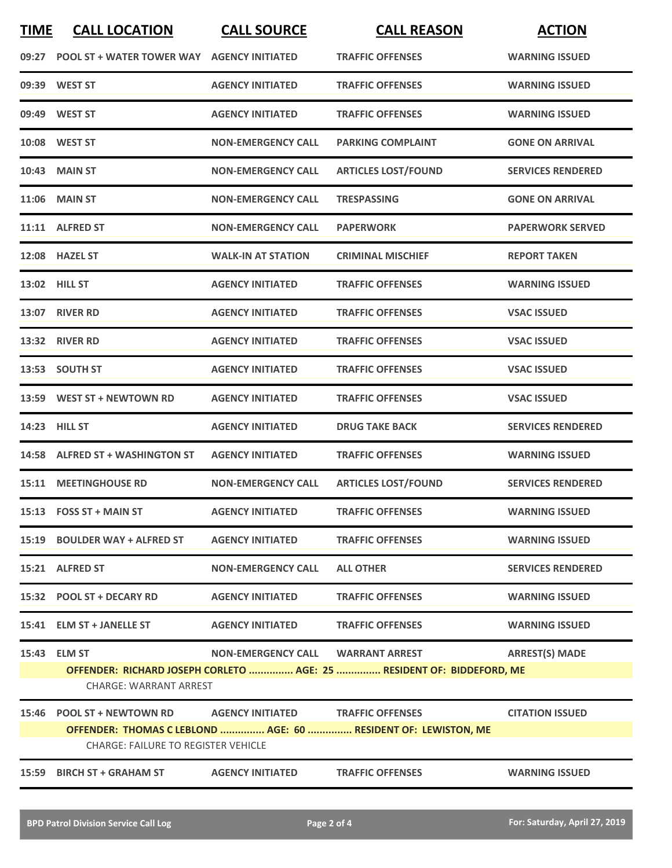| <b>TIME</b> | <b>CALL LOCATION</b>                       | <b>CALL SOURCE</b>                | <b>CALL REASON</b>                                                    | <b>ACTION</b>            |
|-------------|--------------------------------------------|-----------------------------------|-----------------------------------------------------------------------|--------------------------|
| 09:27       | <b>POOL ST + WATER TOWER WAY</b>           | <b>AGENCY INITIATED</b>           | <b>TRAFFIC OFFENSES</b>                                               | <b>WARNING ISSUED</b>    |
| 09:39       | <b>WEST ST</b>                             | <b>AGENCY INITIATED</b>           | <b>TRAFFIC OFFENSES</b>                                               | <b>WARNING ISSUED</b>    |
|             | 09:49 WEST ST                              | <b>AGENCY INITIATED</b>           | <b>TRAFFIC OFFENSES</b>                                               | <b>WARNING ISSUED</b>    |
| 10:08       | <b>WEST ST</b>                             | <b>NON-EMERGENCY CALL</b>         | <b>PARKING COMPLAINT</b>                                              | <b>GONE ON ARRIVAL</b>   |
| 10:43       | <b>MAIN ST</b>                             | <b>NON-EMERGENCY CALL</b>         | <b>ARTICLES LOST/FOUND</b>                                            | <b>SERVICES RENDERED</b> |
| 11:06       | <b>MAIN ST</b>                             | <b>NON-EMERGENCY CALL</b>         | <b>TRESPASSING</b>                                                    | <b>GONE ON ARRIVAL</b>   |
| 11:11       | <b>ALFRED ST</b>                           | <b>NON-EMERGENCY CALL</b>         | <b>PAPERWORK</b>                                                      | <b>PAPERWORK SERVED</b>  |
|             | 12:08 HAZEL ST                             | <b>WALK-IN AT STATION</b>         | <b>CRIMINAL MISCHIEF</b>                                              | <b>REPORT TAKEN</b>      |
|             | 13:02 HILL ST                              | <b>AGENCY INITIATED</b>           | <b>TRAFFIC OFFENSES</b>                                               | <b>WARNING ISSUED</b>    |
| 13:07       | <b>RIVER RD</b>                            | <b>AGENCY INITIATED</b>           | <b>TRAFFIC OFFENSES</b>                                               | <b>VSAC ISSUED</b>       |
| 13:32       | <b>RIVER RD</b>                            | <b>AGENCY INITIATED</b>           | <b>TRAFFIC OFFENSES</b>                                               | <b>VSAC ISSUED</b>       |
| 13:53       | <b>SOUTH ST</b>                            | <b>AGENCY INITIATED</b>           | <b>TRAFFIC OFFENSES</b>                                               | <b>VSAC ISSUED</b>       |
| 13:59       | <b>WEST ST + NEWTOWN RD</b>                | <b>AGENCY INITIATED</b>           | <b>TRAFFIC OFFENSES</b>                                               | <b>VSAC ISSUED</b>       |
| 14:23       | <b>HILL ST</b>                             | <b>AGENCY INITIATED</b>           | <b>DRUG TAKE BACK</b>                                                 | <b>SERVICES RENDERED</b> |
| 14:58       | <b>ALFRED ST + WASHINGTON ST</b>           | <b>AGENCY INITIATED</b>           | <b>TRAFFIC OFFENSES</b>                                               | <b>WARNING ISSUED</b>    |
| 15:11       | <b>MEETINGHOUSE RD</b>                     | <b>NON-EMERGENCY CALL</b>         | <b>ARTICLES LOST/FOUND</b>                                            | <b>SERVICES RENDERED</b> |
|             | 15:13 FOSS ST + MAIN ST                    | <b>AGENCY INITIATED</b>           | <b>TRAFFIC OFFENSES</b>                                               | <b>WARNING ISSUED</b>    |
|             | 15:19 BOULDER WAY + ALFRED ST              | <b>AGENCY INITIATED</b>           | <b>TRAFFIC OFFENSES</b>                                               | <b>WARNING ISSUED</b>    |
|             | 15:21 ALFRED ST                            | <b>NON-EMERGENCY CALL</b>         | <b>ALL OTHER</b>                                                      | <b>SERVICES RENDERED</b> |
|             | 15:32 POOL ST + DECARY RD                  | <b>AGENCY INITIATED</b>           | <b>TRAFFIC OFFENSES</b>                                               | <b>WARNING ISSUED</b>    |
|             | 15:41 ELM ST + JANELLE ST                  | <b>AGENCY INITIATED</b>           | <b>TRAFFIC OFFENSES</b>                                               | <b>WARNING ISSUED</b>    |
|             | 15:43 ELM ST                               | NON-EMERGENCY CALL WARRANT ARREST |                                                                       | <b>ARREST(S) MADE</b>    |
|             | <b>CHARGE: WARRANT ARREST</b>              |                                   | OFFENDER: RICHARD JOSEPH CORLETO  AGE: 25  RESIDENT OF: BIDDEFORD, ME |                          |
|             | 15:46 POOL ST + NEWTOWN RD                 | <b>AGENCY INITIATED</b>           | <b>TRAFFIC OFFENSES</b>                                               | <b>CITATION ISSUED</b>   |
|             | <b>CHARGE: FAILURE TO REGISTER VEHICLE</b> |                                   | OFFENDER: THOMAS C LEBLOND  AGE: 60  RESIDENT OF: LEWISTON, ME        |                          |
| 15:59       | <b>BIRCH ST + GRAHAM ST</b>                | <b>AGENCY INITIATED</b>           | <b>TRAFFIC OFFENSES</b>                                               | <b>WARNING ISSUED</b>    |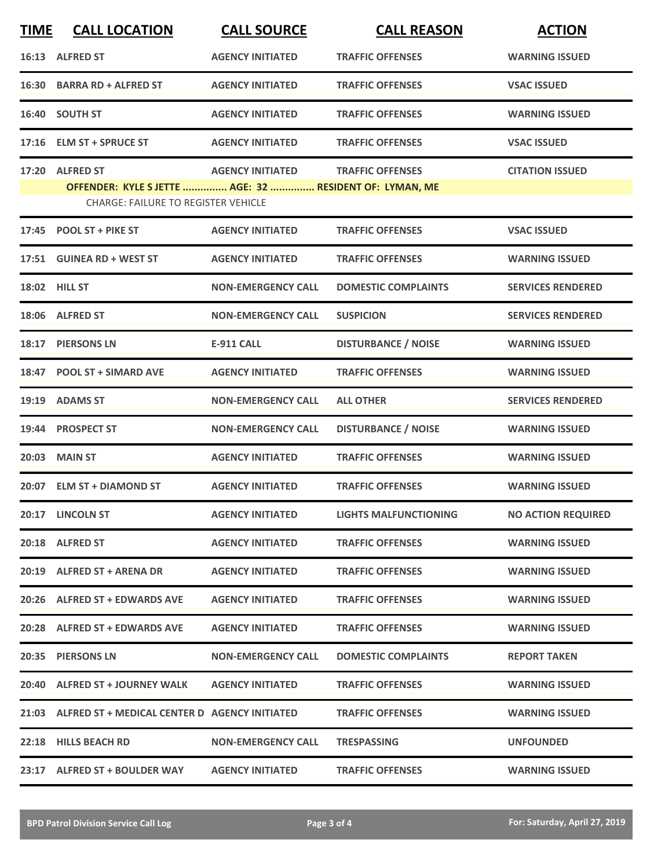| <b>TIME</b> | <b>CALL LOCATION</b>                                                                                  | <b>CALL SOURCE</b>        | <b>CALL REASON</b>           | <b>ACTION</b>             |
|-------------|-------------------------------------------------------------------------------------------------------|---------------------------|------------------------------|---------------------------|
|             | 16:13 ALFRED ST                                                                                       | <b>AGENCY INITIATED</b>   | <b>TRAFFIC OFFENSES</b>      | <b>WARNING ISSUED</b>     |
|             | 16:30 BARRA RD + ALFRED ST                                                                            | <b>AGENCY INITIATED</b>   | <b>TRAFFIC OFFENSES</b>      | <b>VSAC ISSUED</b>        |
|             | 16:40 SOUTH ST                                                                                        | <b>AGENCY INITIATED</b>   | <b>TRAFFIC OFFENSES</b>      | <b>WARNING ISSUED</b>     |
|             | 17:16 ELM ST + SPRUCE ST                                                                              | <b>AGENCY INITIATED</b>   | <b>TRAFFIC OFFENSES</b>      | <b>VSAC ISSUED</b>        |
|             | 17:20 ALFRED ST                                                                                       | <b>AGENCY INITIATED</b>   | <b>TRAFFIC OFFENSES</b>      | <b>CITATION ISSUED</b>    |
|             | OFFENDER: KYLE S JETTE  AGE: 32  RESIDENT OF: LYMAN, ME<br><b>CHARGE: FAILURE TO REGISTER VEHICLE</b> |                           |                              |                           |
|             | 17:45 POOL ST + PIKE ST                                                                               | <b>AGENCY INITIATED</b>   | <b>TRAFFIC OFFENSES</b>      | <b>VSAC ISSUED</b>        |
|             | 17:51 GUINEA RD + WEST ST                                                                             | <b>AGENCY INITIATED</b>   | <b>TRAFFIC OFFENSES</b>      | <b>WARNING ISSUED</b>     |
|             | <b>18:02 HILL ST</b>                                                                                  | <b>NON-EMERGENCY CALL</b> | <b>DOMESTIC COMPLAINTS</b>   | <b>SERVICES RENDERED</b>  |
|             | 18:06 ALFRED ST                                                                                       | <b>NON-EMERGENCY CALL</b> | <b>SUSPICION</b>             | <b>SERVICES RENDERED</b>  |
| 18:17       | <b>PIERSONS LN</b>                                                                                    | <b>E-911 CALL</b>         | <b>DISTURBANCE / NOISE</b>   | <b>WARNING ISSUED</b>     |
| 18:47       | <b>POOL ST + SIMARD AVE</b>                                                                           | <b>AGENCY INITIATED</b>   | <b>TRAFFIC OFFENSES</b>      | <b>WARNING ISSUED</b>     |
|             | 19:19 ADAMS ST                                                                                        | <b>NON-EMERGENCY CALL</b> | <b>ALL OTHER</b>             | <b>SERVICES RENDERED</b>  |
|             | 19:44 PROSPECT ST                                                                                     | <b>NON-EMERGENCY CALL</b> | <b>DISTURBANCE / NOISE</b>   | <b>WARNING ISSUED</b>     |
|             | 20:03 MAIN ST                                                                                         | <b>AGENCY INITIATED</b>   | <b>TRAFFIC OFFENSES</b>      | <b>WARNING ISSUED</b>     |
|             | 20:07 ELM ST + DIAMOND ST                                                                             | <b>AGENCY INITIATED</b>   | <b>TRAFFIC OFFENSES</b>      | <b>WARNING ISSUED</b>     |
|             | 20:17 LINCOLN ST                                                                                      | <b>AGENCY INITIATED</b>   | <b>LIGHTS MALFUNCTIONING</b> | <b>NO ACTION REQUIRED</b> |
|             | 20:18 ALFRED ST                                                                                       | <b>AGENCY INITIATED</b>   | <b>TRAFFIC OFFENSES</b>      | <b>WARNING ISSUED</b>     |
|             | 20:19 ALFRED ST + ARENA DR                                                                            | <b>AGENCY INITIATED</b>   | <b>TRAFFIC OFFENSES</b>      | <b>WARNING ISSUED</b>     |
|             | 20:26 ALFRED ST + EDWARDS AVE                                                                         | <b>AGENCY INITIATED</b>   | <b>TRAFFIC OFFENSES</b>      | <b>WARNING ISSUED</b>     |
|             | 20:28 ALFRED ST + EDWARDS AVE                                                                         | <b>AGENCY INITIATED</b>   | <b>TRAFFIC OFFENSES</b>      | <b>WARNING ISSUED</b>     |
|             | 20:35 PIERSONS LN                                                                                     | <b>NON-EMERGENCY CALL</b> | <b>DOMESTIC COMPLAINTS</b>   | <b>REPORT TAKEN</b>       |
|             | 20:40 ALFRED ST + JOURNEY WALK                                                                        | <b>AGENCY INITIATED</b>   | <b>TRAFFIC OFFENSES</b>      | <b>WARNING ISSUED</b>     |
|             | 21:03 ALFRED ST + MEDICAL CENTER D AGENCY INITIATED                                                   |                           | <b>TRAFFIC OFFENSES</b>      | <b>WARNING ISSUED</b>     |
|             | 22:18 HILLS BEACH RD                                                                                  | <b>NON-EMERGENCY CALL</b> | <b>TRESPASSING</b>           | <b>UNFOUNDED</b>          |
|             | 23:17 ALFRED ST + BOULDER WAY                                                                         | <b>AGENCY INITIATED</b>   | <b>TRAFFIC OFFENSES</b>      | <b>WARNING ISSUED</b>     |